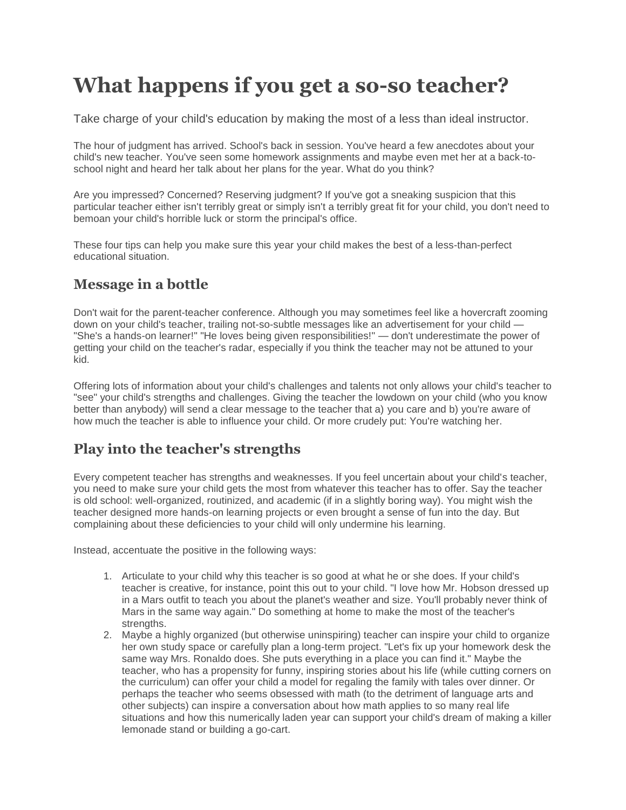# **What happens if you get a so-so teacher?**

Take charge of your child's education by making the most of a less than ideal instructor.

The hour of judgment has arrived. School's back in session. You've heard a few anecdotes about your child's new teacher. You've seen some homework assignments and maybe even met her at a back-toschool night and heard her talk about her plans for the year. What do you think?

Are you impressed? Concerned? Reserving judgment? If you've got a sneaking suspicion that this particular teacher either isn't terribly great or simply isn't a terribly great fit for your child, you don't need to bemoan your child's horrible luck or storm the principal's office.

These four tips can help you make sure this year your child makes the best of a less-than-perfect educational situation.

## **Message in a bottle**

Don't wait for the parent-teacher conference. Although you may sometimes feel like a hovercraft zooming down on your child's teacher, trailing not-so-subtle messages like an advertisement for your child — "She's a hands-on learner!" "He loves being given responsibilities!" — don't underestimate the power of getting your child on the teacher's radar, especially if you think the teacher may not be attuned to your kid.

Offering lots of information about your child's challenges and talents not only allows your child's teacher to "see" your child's strengths and challenges. Giving the teacher the lowdown on your child (who you know better than anybody) will send a clear message to the teacher that a) you care and b) you're aware of how much the teacher is able to influence your child. Or more crudely put: You're watching her.

# **Play into the teacher's strengths**

Every competent teacher has strengths and weaknesses. If you feel uncertain about your child's teacher, you need to make sure your child gets the most from whatever this teacher has to offer. Say the teacher is old school: well-organized, routinized, and academic (if in a slightly boring way). You might wish the teacher designed more hands-on learning projects or even brought a sense of fun into the day. But complaining about these deficiencies to your child will only undermine his learning.

Instead, accentuate the positive in the following ways:

- 1. Articulate to your child why this teacher is so good at what he or she does. If your child's teacher is creative, for instance, point this out to your child. "I love how Mr. Hobson dressed up in a Mars outfit to teach you about the planet's weather and size. You'll probably never think of Mars in the same way again." Do something at home to make the most of the teacher's strengths.
- 2. Maybe a highly organized (but otherwise uninspiring) teacher can inspire your child to organize her own study space or carefully plan a long-term project. "Let's fix up your homework desk the same way Mrs. Ronaldo does. She puts everything in a place you can find it." Maybe the teacher, who has a propensity for funny, inspiring stories about his life (while cutting corners on the curriculum) can offer your child a model for regaling the family with tales over dinner. Or perhaps the teacher who seems obsessed with math (to the detriment of language arts and other subjects) can inspire a conversation about how math applies to so many real life situations and how this numerically laden year can support your child's dream of making a killer lemonade stand or building a go-cart.